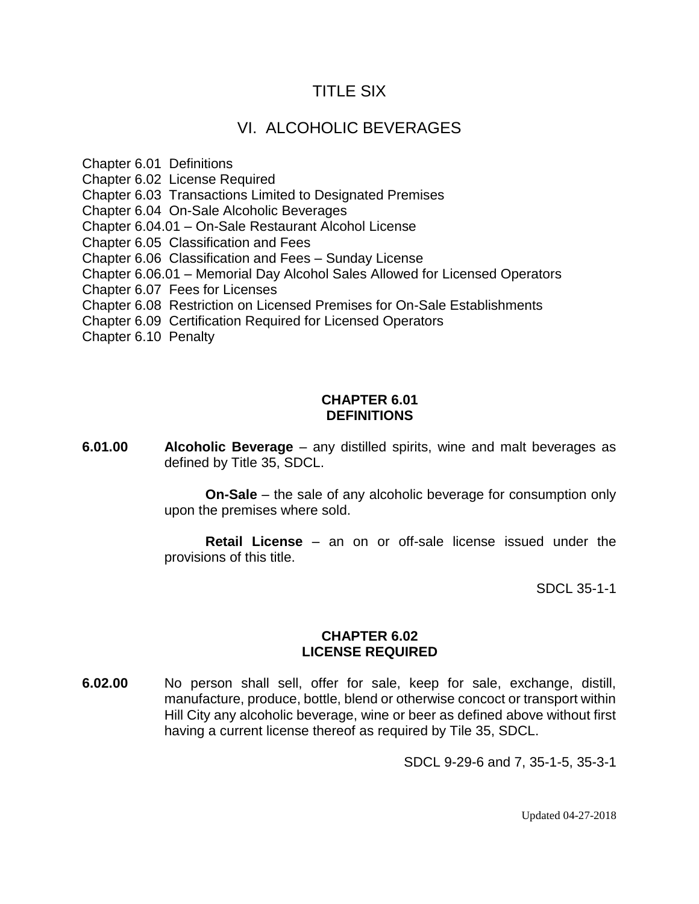## TITLE SIX

# VI. ALCOHOLIC BEVERAGES

Chapter 6.01 Definitions Chapter 6.02 License Required Chapter 6.03 Transactions Limited to Designated Premises Chapter 6.04 On-Sale Alcoholic Beverages Chapter 6.04.01 – On-Sale Restaurant Alcohol License Chapter 6.05 Classification and Fees Chapter 6.06 Classification and Fees – Sunday License Chapter 6.06.01 – Memorial Day Alcohol Sales Allowed for Licensed Operators Chapter 6.07 Fees for Licenses Chapter 6.08 Restriction on Licensed Premises for On-Sale Establishments Chapter 6.09 Certification Required for Licensed Operators

Chapter 6.10 Penalty

#### **CHAPTER 6.01 DEFINITIONS**

**6.01.00 Alcoholic Beverage** – any distilled spirits, wine and malt beverages as defined by Title 35, SDCL.

> **On-Sale** – the sale of any alcoholic beverage for consumption only upon the premises where sold.

> **Retail License** – an on or off-sale license issued under the provisions of this title.

> > SDCL 35-1-1

#### **CHAPTER 6.02 LICENSE REQUIRED**

**6.02.00** No person shall sell, offer for sale, keep for sale, exchange, distill, manufacture, produce, bottle, blend or otherwise concoct or transport within Hill City any alcoholic beverage, wine or beer as defined above without first having a current license thereof as required by Tile 35, SDCL.

SDCL 9-29-6 and 7, 35-1-5, 35-3-1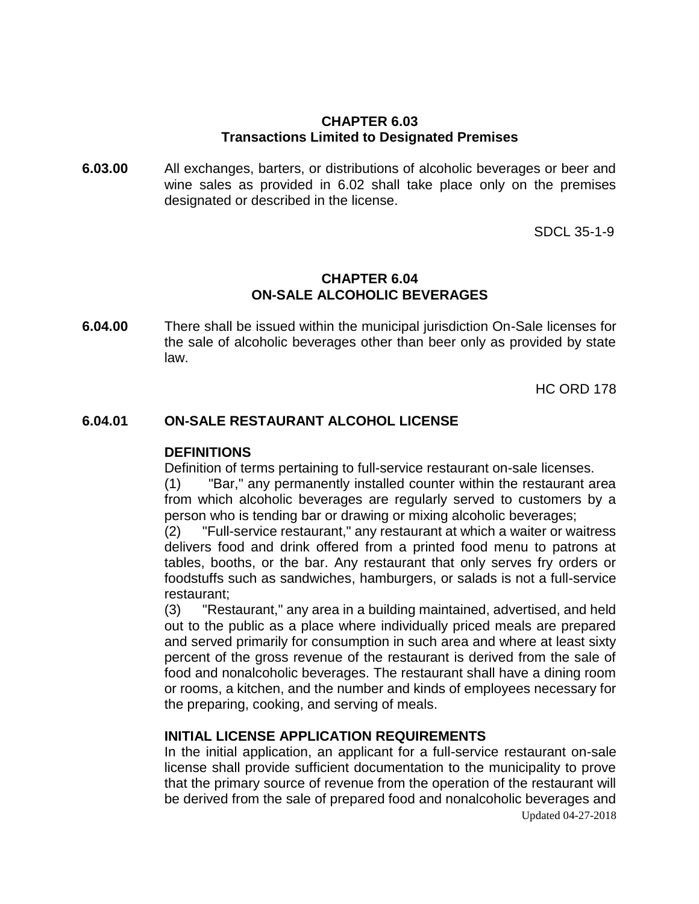#### **CHAPTER 6.03 Transactions Limited to Designated Premises**

**6.03.00** All exchanges, barters, or distributions of alcoholic beverages or beer and wine sales as provided in 6.02 shall take place only on the premises designated or described in the license.

SDCL 35-1-9

#### **CHAPTER 6.04 ON-SALE ALCOHOLIC BEVERAGES**

**6.04.00** There shall be issued within the municipal jurisdiction On-Sale licenses for the sale of alcoholic beverages other than beer only as provided by state law.

HC ORD 178

## **6.04.01 ON-SALE RESTAURANT ALCOHOL LICENSE**

#### **DEFINITIONS**

Definition of terms pertaining to full-service restaurant on-sale licenses.

(1) "Bar," any permanently installed counter within the restaurant area from which alcoholic beverages are regularly served to customers by a person who is tending bar or drawing or mixing alcoholic beverages;

(2) "Full-service restaurant," any restaurant at which a waiter or waitress delivers food and drink offered from a printed food menu to patrons at tables, booths, or the bar. Any restaurant that only serves fry orders or foodstuffs such as sandwiches, hamburgers, or salads is not a full-service restaurant;

(3) "Restaurant," any area in a building maintained, advertised, and held out to the public as a place where individually priced meals are prepared and served primarily for consumption in such area and where at least sixty percent of the gross revenue of the restaurant is derived from the sale of food and nonalcoholic beverages. The restaurant shall have a dining room or rooms, a kitchen, and the number and kinds of employees necessary for the preparing, cooking, and serving of meals.

## **INITIAL LICENSE APPLICATION REQUIREMENTS**

Updated 04-27-2018 In the initial application, an applicant for a full-service restaurant on-sale license shall provide sufficient documentation to the municipality to prove that the primary source of revenue from the operation of the restaurant will be derived from the sale of prepared food and nonalcoholic beverages and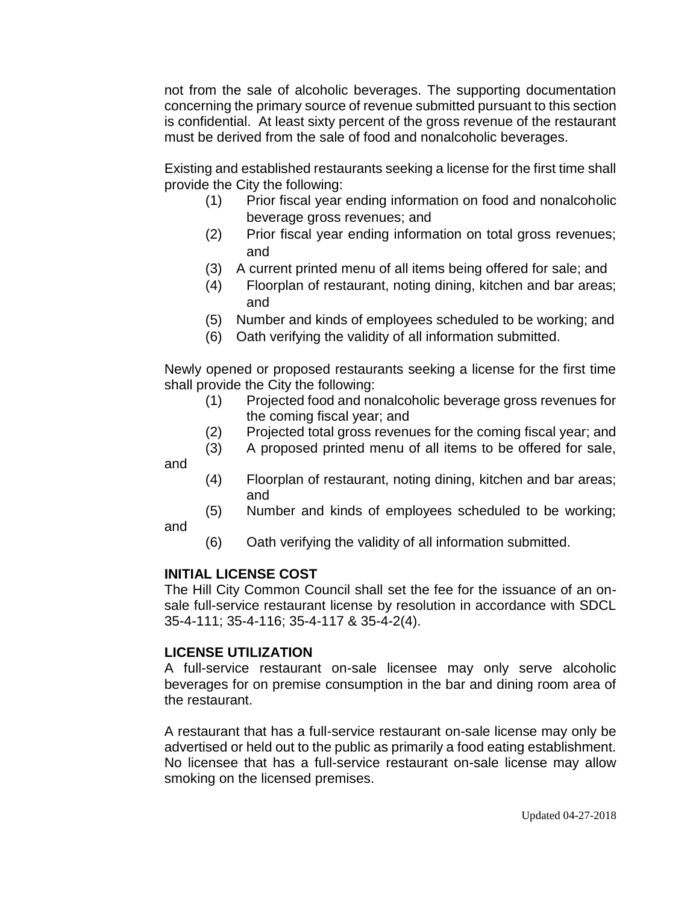not from the sale of alcoholic beverages. The supporting documentation concerning the primary source of revenue submitted pursuant to this section is confidential. At least sixty percent of the gross revenue of the restaurant must be derived from the sale of food and nonalcoholic beverages.

Existing and established restaurants seeking a license for the first time shall provide the City the following:

- (1) Prior fiscal year ending information on food and nonalcoholic beverage gross revenues; and
- (2) Prior fiscal year ending information on total gross revenues; and
- (3) A current printed menu of all items being offered for sale; and
- (4) Floorplan of restaurant, noting dining, kitchen and bar areas; and
- (5) Number and kinds of employees scheduled to be working; and
- (6) Oath verifying the validity of all information submitted.

Newly opened or proposed restaurants seeking a license for the first time shall provide the City the following:

- (1) Projected food and nonalcoholic beverage gross revenues for the coming fiscal year; and
- (2) Projected total gross revenues for the coming fiscal year; and
- (3) A proposed printed menu of all items to be offered for sale,
- (4) Floorplan of restaurant, noting dining, kitchen and bar areas; and
- (5) Number and kinds of employees scheduled to be working;
- (6) Oath verifying the validity of all information submitted.

## **INITIAL LICENSE COST**

and

and

The Hill City Common Council shall set the fee for the issuance of an onsale full-service restaurant license by resolution in accordance with SDCL 35-4-111; 35-4-116; 35-4-117 & 35-4-2(4).

## **LICENSE UTILIZATION**

A full-service restaurant on-sale licensee may only serve alcoholic beverages for on premise consumption in the bar and dining room area of the restaurant.

A restaurant that has a full-service restaurant on-sale license may only be advertised or held out to the public as primarily a food eating establishment. No licensee that has a full-service restaurant on-sale license may allow smoking on the licensed premises.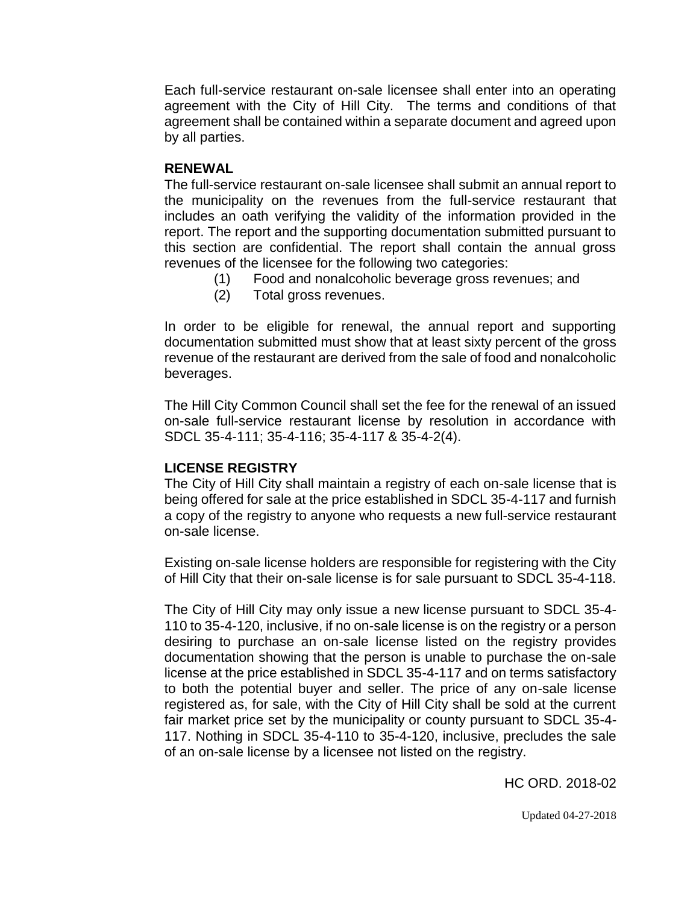Each full-service restaurant on-sale licensee shall enter into an operating agreement with the City of Hill City. The terms and conditions of that agreement shall be contained within a separate document and agreed upon by all parties.

#### **RENEWAL**

The full-service restaurant on-sale licensee shall submit an annual report to the municipality on the revenues from the full-service restaurant that includes an oath verifying the validity of the information provided in the report. The report and the supporting documentation submitted pursuant to this section are confidential. The report shall contain the annual gross revenues of the licensee for the following two categories:

- (1) Food and nonalcoholic beverage gross revenues; and
- (2) Total gross revenues.

In order to be eligible for renewal, the annual report and supporting documentation submitted must show that at least sixty percent of the gross revenue of the restaurant are derived from the sale of food and nonalcoholic beverages.

The Hill City Common Council shall set the fee for the renewal of an issued on-sale full-service restaurant license by resolution in accordance with SDCL 35-4-111; 35-4-116; 35-4-117 & 35-4-2(4).

## **LICENSE REGISTRY**

The City of Hill City shall maintain a registry of each on-sale license that is being offered for sale at the price established in SDCL 35-4-117 and furnish a copy of the registry to anyone who requests a new full-service restaurant on-sale license.

Existing on-sale license holders are responsible for registering with the City of Hill City that their on-sale license is for sale pursuant to SDCL 35-4-118.

The City of Hill City may only issue a new license pursuant to SDCL 35-4- 110 to 35-4-120, inclusive, if no on-sale license is on the registry or a person desiring to purchase an on-sale license listed on the registry provides documentation showing that the person is unable to purchase the on-sale license at the price established in SDCL 35-4-117 and on terms satisfactory to both the potential buyer and seller. The price of any on-sale license registered as, for sale, with the City of Hill City shall be sold at the current fair market price set by the municipality or county pursuant to SDCL 35-4- 117. Nothing in SDCL 35-4-110 to 35-4-120, inclusive, precludes the sale of an on-sale license by a licensee not listed on the registry.

HC ORD. 2018-02

Updated 04-27-2018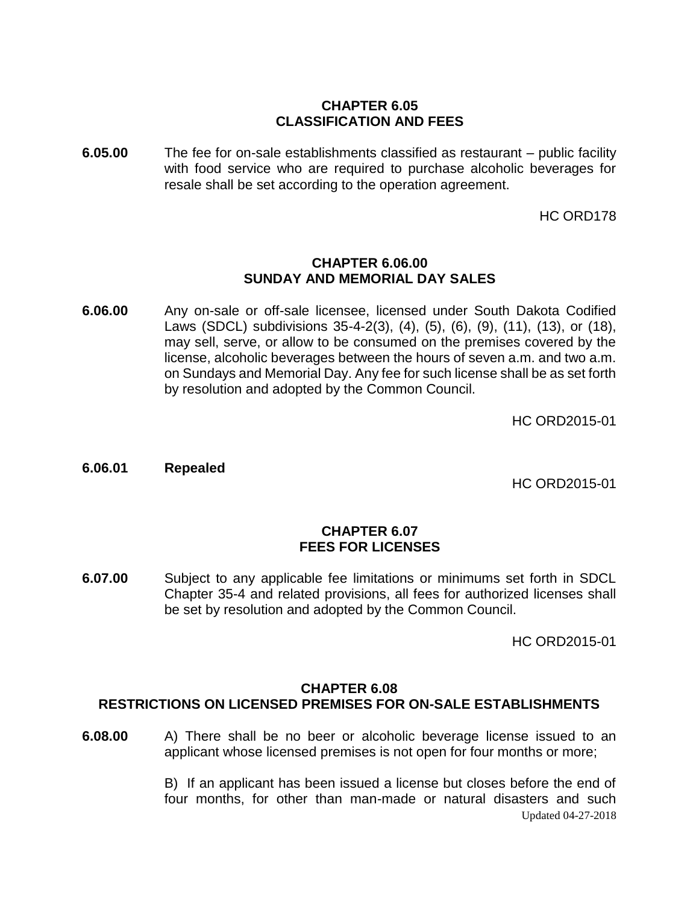## **CHAPTER 6.05 CLASSIFICATION AND FEES**

**6.05.00** The fee for on-sale establishments classified as restaurant – public facility with food service who are required to purchase alcoholic beverages for resale shall be set according to the operation agreement.

HC ORD178

#### **CHAPTER 6.06.00 SUNDAY AND MEMORIAL DAY SALES**

**6.06.00** Any on-sale or off-sale licensee, licensed under South Dakota Codified Laws (SDCL) subdivisions 35-4-2(3), (4), (5), (6), (9), (11), (13), or (18), may sell, serve, or allow to be consumed on the premises covered by the license, alcoholic beverages between the hours of seven a.m. and two a.m. on Sundays and Memorial Day. Any fee for such license shall be as set forth by resolution and adopted by the Common Council.

HC ORD2015-01

**6.06.01 Repealed**

HC ORD2015-01

#### **CHAPTER 6.07 FEES FOR LICENSES**

**6.07.00** Subject to any applicable fee limitations or minimums set forth in SDCL Chapter 35-4 and related provisions, all fees for authorized licenses shall be set by resolution and adopted by the Common Council.

HC ORD2015-01

#### **CHAPTER 6.08**

## **RESTRICTIONS ON LICENSED PREMISES FOR ON-SALE ESTABLISHMENTS**

**6.08.00** A) There shall be no beer or alcoholic beverage license issued to an applicant whose licensed premises is not open for four months or more;

> Updated 04-27-2018 B) If an applicant has been issued a license but closes before the end of four months, for other than man-made or natural disasters and such